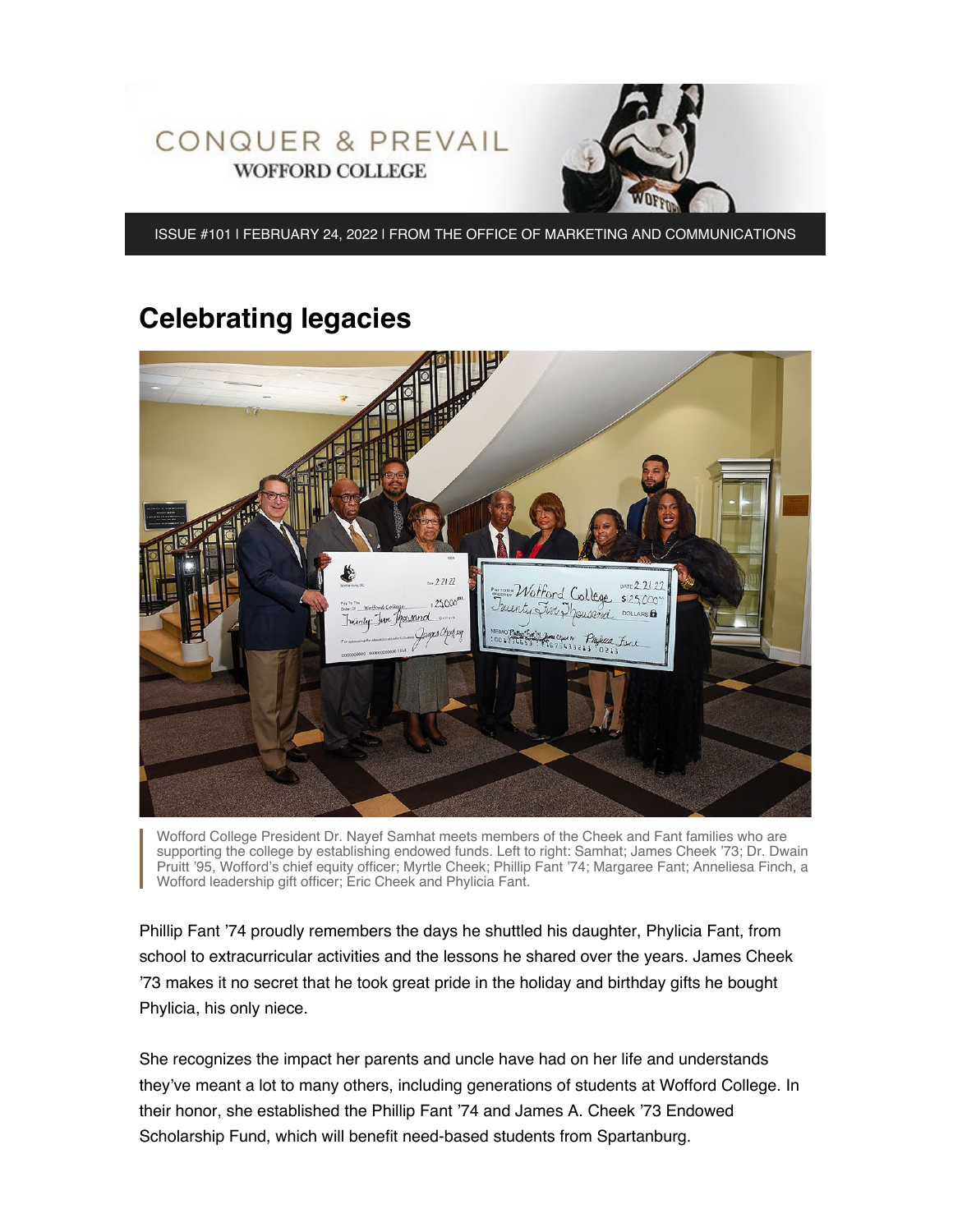



ISSUE #101 | FEBRUARY 24, 2022 | FROM THE OFFICE OF MARKETING AND COMMUNICATIONS

## **Celebrating legacies**



Wofford College President Dr. Nayef Samhat meets members of the Cheek and Fant families who are supporting the college by establishing endowed funds. Left to right: Samhat; James Cheek '73; Dr. Dwain Pruitt '95, Wofford's chief equity officer; Myrtle Cheek; Phillip Fant '74; Margaree Fant; Anneliesa Finch, a Wofford leadership gift officer; Eric Cheek and Phylicia Fant.

Phillip Fant '74 proudly remembers the days he shuttled his daughter, Phylicia Fant, from school to extracurricular activities and the lessons he shared over the years. James Cheek '73 makes it no secret that he took great pride in the holiday and birthday gifts he bought Phylicia, his only niece.

She recognizes the impact her parents and uncle have had on her life and understands they've meant a lot to many others, including generations of students at Wofford College. In their honor, she established the Phillip Fant '74 and James A. Cheek '73 Endowed Scholarship Fund, which will benefit need-based students from Spartanburg.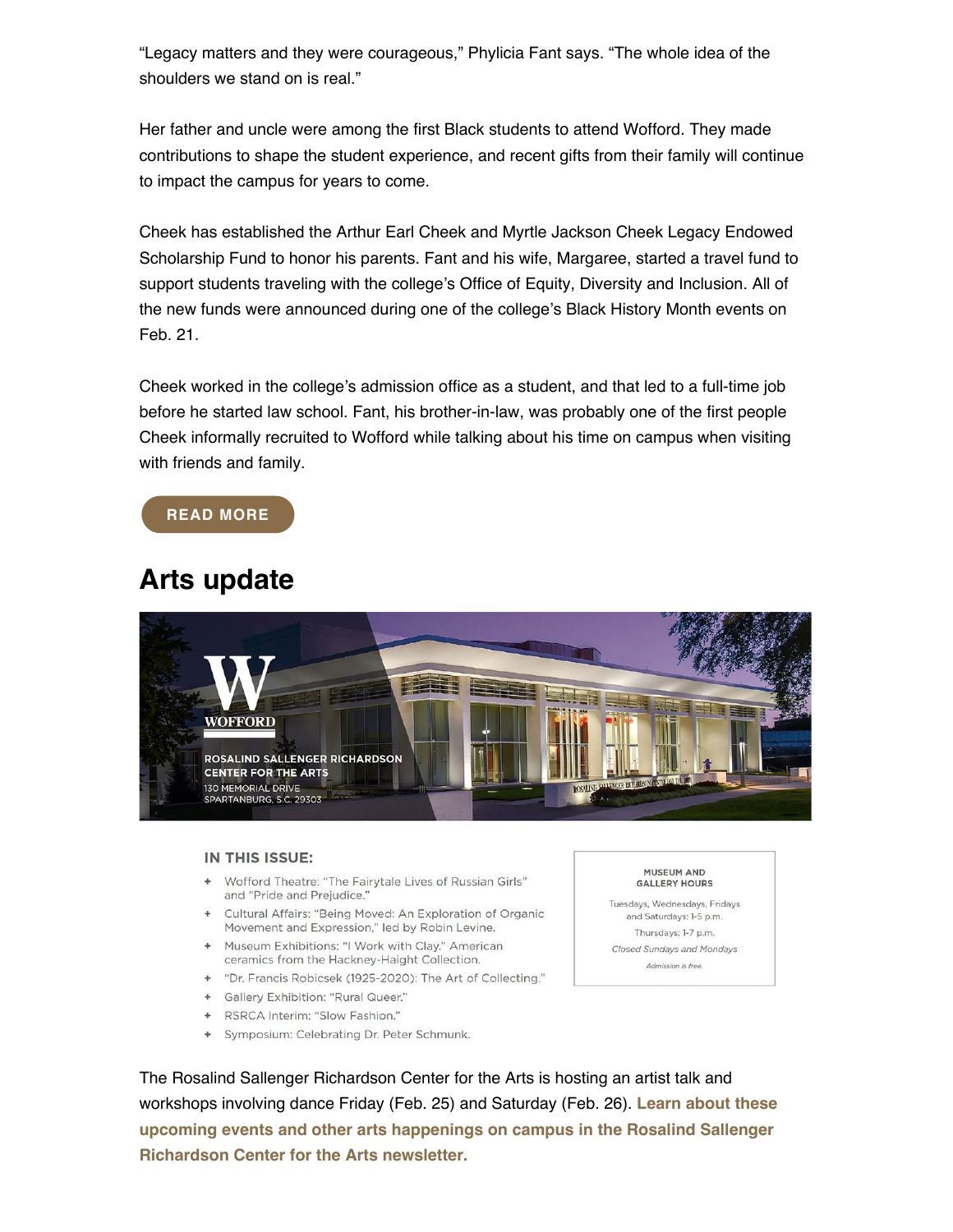"Legacy matters and they were courageous," Phylicia Fant says. "The whole idea of the shoulders we stand on is real."

Her father and uncle were among the first Black students to attend Wofford. They made contributions to shape the student experience, and recent gifts from their family will continue to impact the campus for years to come.

Cheek has established the Arthur Earl Cheek and Myrtle Jackson Cheek Legacy Endowed Scholarship Fund to honor his parents. Fant and his wife, Margaree, started a travel fund to support students traveling with the college's Office of Equity, Diversity and Inclusion. All of the new funds were announced during one of the college's Black History Month events on Feb. 21.

Cheek worked in the college's admission office as a student, and that led to a full-time job before he started law school. Fant, his brother-in-law, was probably one of the first people Cheek informally recruited to Wofford while talking about his time on campus when visiting with friends and family.

#### **[READ MORE](https://www.wofford.edu/about/news/news-archives/2022/celebrating-legacies)**

### **Arts update**



#### IN THIS ISSUE:

- + Wofford Theatre: "The Fairytale Lives of Russian Girls" and "Pride and Prejudice."
- + Cultural Affairs: "Being Moved: An Exploration of Organic Movement and Expression," led by Robin Levine.
- + Museum Exhibitions: "I Work with Clay." American ceramics from the Hackney-Haight Collection.
- + "Dr. Francis Robicsek (1925-2020): The Art of Collecting."
- + Gallery Exhibition: "Rural Queer."
- + RSRCA Interim: "Slow Fashion."
- + Symposium: Celebrating Dr. Peter Schmunk.

The Rosalind Sallenger Richardson Center for the Arts is hosting an artist talk and workshops involving dance Friday (Feb. 25) and Saturday (Feb. 26). **[Learn about these](https://www.wofford.edu/wofford.edu/documents/student-experiences/arts-culture/rsrca-newsletter-2022-spring.pdf) [upcoming events and other arts happenings on campu](https://www.wofford.edu/wofford.edu/documents/student-experiences/arts-culture/rsrca-newsletter-2022-spring.pdf)s in the Rosalind Sallenger Richardson Center for the Arts newsletter.**

#### MUSEUM AND **GALLERY HOURS**

Tuesdays, Wednesdays, Fridays and Saturdays: 1-5 p.m. Thursdays: 1-7 p.m. Closed Sundays and Mondays Admission is free.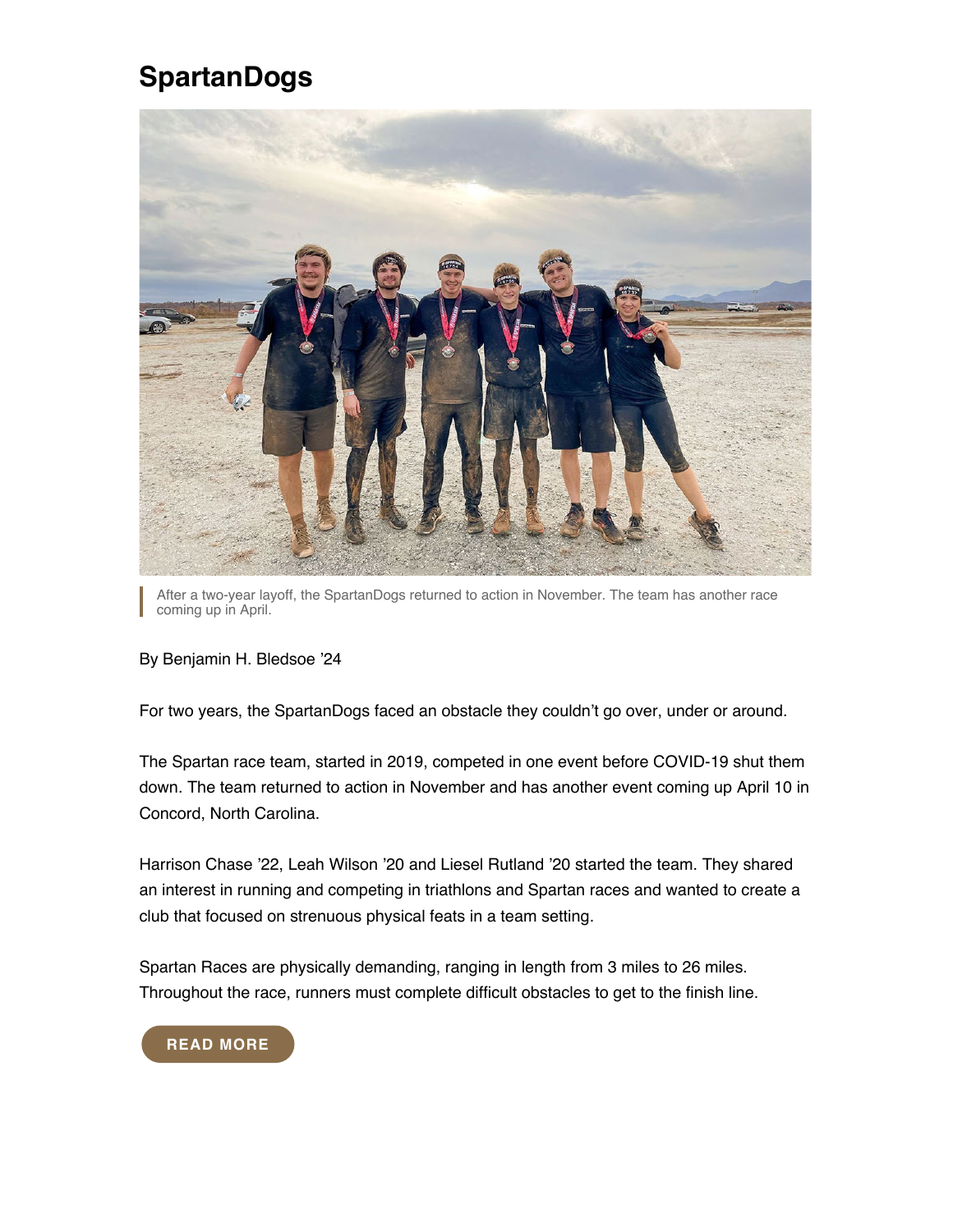# **SpartanDogs**



After a two-year layoff, the SpartanDogs returned to action in November. The team has another race coming up in April.

#### By Benjamin H. Bledsoe '24

For two years, the SpartanDogs faced an obstacle they couldn't go over, under or around.

The Spartan race team, started in 2019, competed in one event before COVID-19 shut them down. The team returned to action in November and has another event coming up April 10 in Concord, North Carolina.

Harrison Chase '22, Leah Wilson '20 and Liesel Rutland '20 started the team. They shared an interest in running and competing in triathlons and Spartan races and wanted to create a club that focused on strenuous physical feats in a team setting.

Spartan Races are physically demanding, ranging in length from 3 miles to 26 miles. Throughout the race, runners must complete difficult obstacles to get to the finish line.

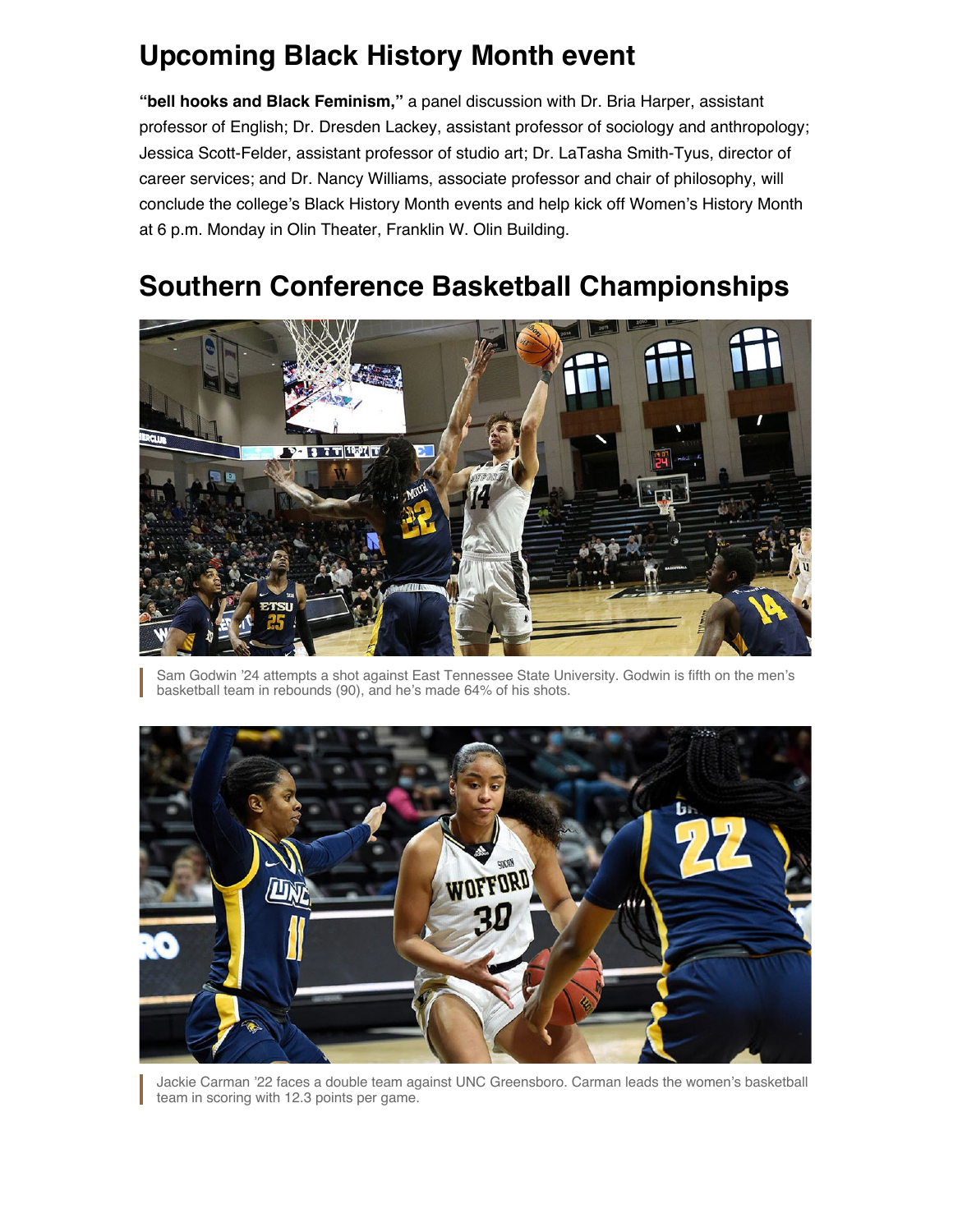# **Upcoming Black History Month event**

**"bell hooks and Black Feminism,"** a panel discussion with Dr. Bria Harper, assistant professor of English; Dr. Dresden Lackey, assistant professor of sociology and anthropology; Jessica Scott-Felder, assistant professor of studio art; Dr. LaTasha Smith-Tyus, director of career services; and Dr. Nancy Williams, associate professor and chair of philosophy, will conclude the college's Black History Month events and help kick off Women's History Month at 6 p.m. Monday in Olin Theater, Franklin W. Olin Building.

## **Southern Conference Basketball Championships**



Sam Godwin '24 attempts a shot against East Tennessee State University. Godwin is fifth on the men's basketball team in rebounds (90), and he's made 64% of his shots.



Jackie Carman '22 faces a double team against UNC Greensboro. Carman leads the women's basketball team in scoring with 12.3 points per game.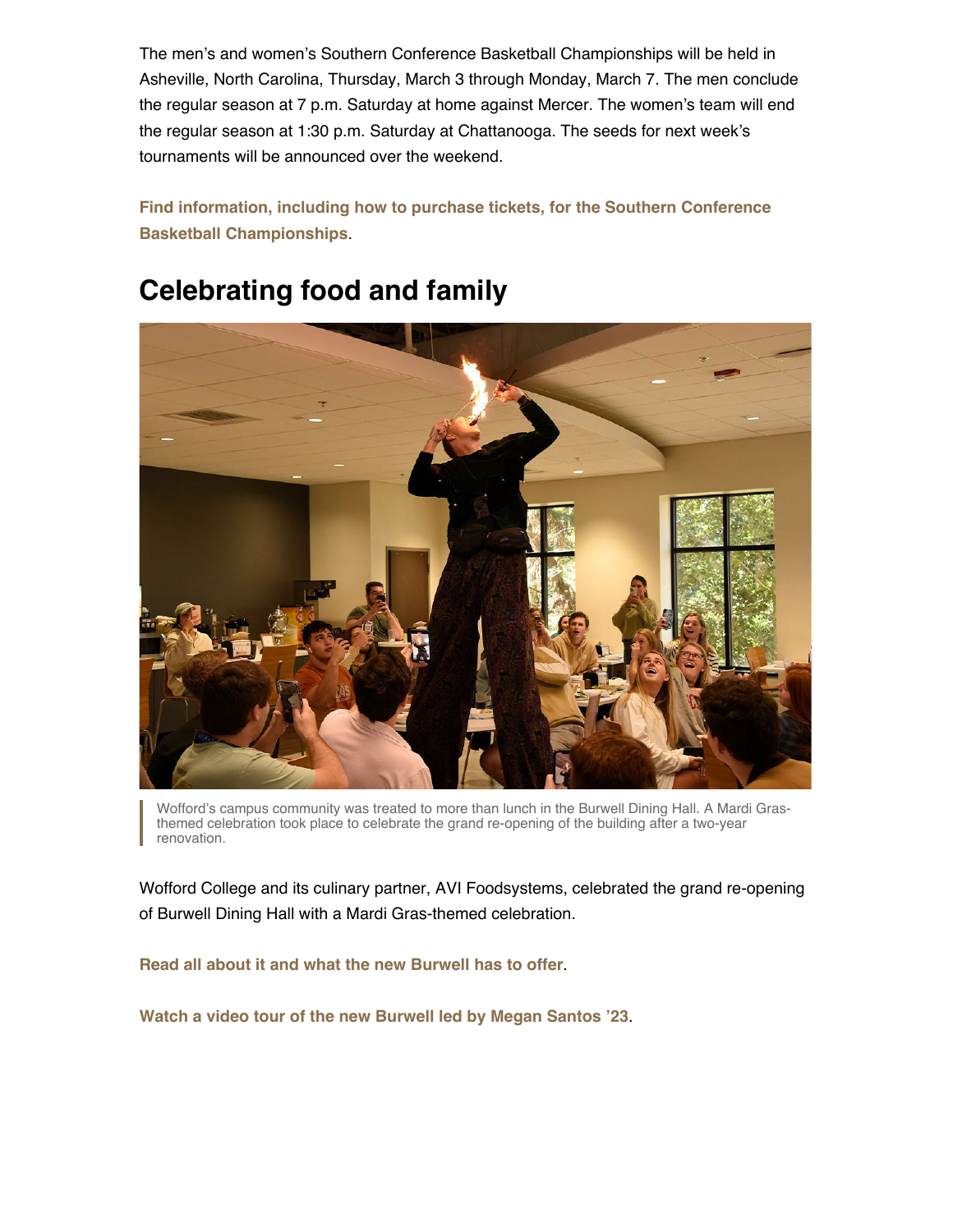The men's and women's Southern Conference Basketball Championships will be held in Asheville, North Carolina, Thursday, March 3 through Monday, March 7. The men conclude the regular season at 7 p.m. Saturday at home against Mercer. The women's team will end the regular season at 1:30 p.m. Saturday at Chattanooga. The seeds for next week's tournaments will be announced over the weekend.

**[Find information, including how to purchase tickets, for the Southern Conference](https://soconsports.com/sports/2021/9/20/2022BasketballChamps.aspx?path=mbball) [Basketball Championships](https://soconsports.com/sports/2021/9/20/2022BasketballChamps.aspx?path=mbball)**.

## **Celebrating food and family**

Wofford's campus community was treated to more than lunch in the Burwell Dining Hall. A Mardi Grasthemed celebration took place to celebrate the grand re-opening of the building after a two-year renovation.

Wofford College and its culinary partner, AVI Foodsystems, celebrated the grand re-opening of Burwell Dining Hall with a Mardi Gras-themed celebration.

**[Read all about it and what the new Burwell has to offer](https://www.wofford.edu/about/news/news-archives/2022/celebrating-food-and-family)**.

**[Watch a video tour of the new Burwell led by Megan Santos '23](https://www.youtube.com/watch?v=Kdd0mIkKnfk)**.